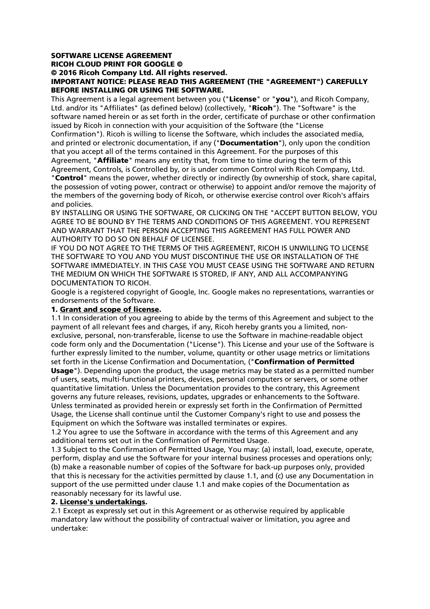# SOFTWARE LICENSE AGREEMENT

RICOH CLOUD PRINT FOR GOOGLE ©

### © 2016 Ricoh Company Ltd. All rights reserved.

## IMPORTANT NOTICE: PLEASE READ THIS AGREEMENT (THE "AGREEMENT") CAREFULLY BEFORE INSTALLING OR USING THE SOFTWARE.

This Agreement is a legal agreement between you ("License" or "you"), and Ricoh Company, Ltd. and/or its "Affiliates" (as defined below) (collectively, "Ricoh"). The "Software" is the software named herein or as set forth in the order, certificate of purchase or other confirmation issued by Ricoh in connection with your acquisition of the Software (the "License

Confirmation"). Ricoh is willing to license the Software, which includes the associated media, and printed or electronic documentation, if any ("Documentation"), only upon the condition that you accept all of the terms contained in this Agreement. For the purposes of this

Agreement, "**Affiliate**" means any entity that, from time to time during the term of this Agreement, Controls, is Controlled by, or is under common Control with Ricoh Company, Ltd.

"Control" means the power, whether directly or indirectly (by ownership of stock, share capital, the possession of voting power, contract or otherwise) to appoint and/or remove the majority of the members of the governing body of Ricoh, or otherwise exercise control over Ricoh's affairs and policies.

BY INSTALLING OR USING THE SOFTWARE, OR CLICKING ON THE "ACCEPT BUTTON BELOW, YOU AGREE TO BE BOUND BY THE TERMS AND CONDITIONS OF THIS AGREEMENT. YOU REPRESENT AND WARRANT THAT THE PERSON ACCEPTING THIS AGREEMENT HAS FULL POWER AND AUTHORITY TO DO SO ON BEHALF OF LICENSEE.

IF YOU DO NOT AGREE TO THE TERMS OF THIS AGREEMENT, RICOH IS UNWILLING TO LICENSE THE SOFTWARE TO YOU AND YOU MUST DISCONTINUE THE USE OR INSTALLATION OF THE SOFTWARE IMMEDIATELY. IN THIS CASE YOU MUST CEASE USING THE SOFTWARE AND RETURN THE MEDIUM ON WHICH THE SOFTWARE IS STORED, IF ANY, AND ALL ACCOMPANYING DOCUMENTATION TO RICOH.

Google is a registered copyright of Google, Inc. Google makes no representations, warranties or endorsements of the Software.

## 1. Grant and scope of license.

1.1 In consideration of you agreeing to abide by the terms of this Agreement and subject to the payment of all relevant fees and charges, if any, Ricoh hereby grants you a limited, nonexclusive, personal, non-transferable, license to use the Software in machine-readable object code form only and the Documentation ("License"). This License and your use of the Software is further expressly limited to the number, volume, quantity or other usage metrics or limitations set forth in the License Confirmation and Documentation, ("Confirmation of Permitted Usage"). Depending upon the product, the usage metrics may be stated as a permitted number of users, seats, multi-functional printers, devices, personal computers or servers, or some other quantitative limitation. Unless the Documentation provides to the contrary, this Agreement governs any future releases, revisions, updates, upgrades or enhancements to the Software. Unless terminated as provided herein or expressly set forth in the Confirmation of Permitted Usage, the License shall continue until the Customer Company's right to use and possess the Equipment on which the Software was installed terminates or expires.

1.2 You agree to use the Software in accordance with the terms of this Agreement and any additional terms set out in the Confirmation of Permitted Usage.

1.3 Subject to the Confirmation of Permitted Usage, You may: (a) install, load, execute, operate, perform, display and use the Software for your internal business processes and operations only; (b) make a reasonable number of copies of the Software for back-up purposes only, provided that this is necessary for the activities permitted by clause 1.1, and (c) use any Documentation in support of the use permitted under clause 1.1 and make copies of the Documentation as reasonably necessary for its lawful use.

## 2. License's undertakings.

2.1 Except as expressly set out in this Agreement or as otherwise required by applicable mandatory law without the possibility of contractual waiver or limitation, you agree and undertake: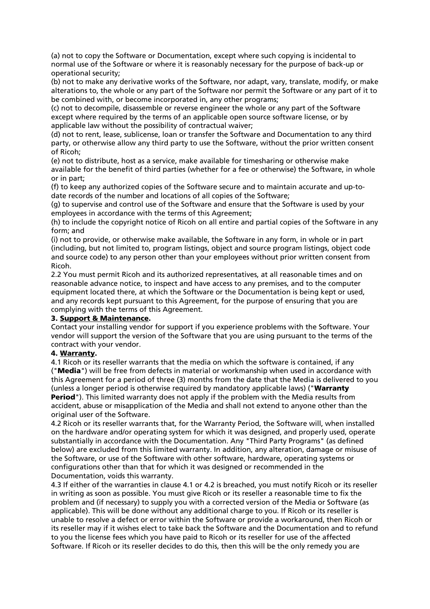(a) not to copy the Software or Documentation, except where such copying is incidental to normal use of the Software or where it is reasonably necessary for the purpose of back-up or operational security;

(b) not to make any derivative works of the Software, nor adapt, vary, translate, modify, or make alterations to, the whole or any part of the Software nor permit the Software or any part of it to be combined with, or become incorporated in, any other programs;

(c) not to decompile, disassemble or reverse engineer the whole or any part of the Software except where required by the terms of an applicable open source software license, or by applicable law without the possibility of contractual waiver;

(d) not to rent, lease, sublicense, loan or transfer the Software and Documentation to any third party, or otherwise allow any third party to use the Software, without the prior written consent of Ricoh;

(e) not to distribute, host as a service, make available for timesharing or otherwise make available for the benefit of third parties (whether for a fee or otherwise) the Software, in whole or in part;

(f) to keep any authorized copies of the Software secure and to maintain accurate and up-todate records of the number and locations of all copies of the Software;

(g) to supervise and control use of the Software and ensure that the Software is used by your employees in accordance with the terms of this Agreement;

(h) to include the copyright notice of Ricoh on all entire and partial copies of the Software in any form; and

(i) not to provide, or otherwise make available, the Software in any form, in whole or in part (including, but not limited to, program listings, object and source program listings, object code and source code) to any person other than your employees without prior written consent from Ricoh.

2.2 You must permit Ricoh and its authorized representatives, at all reasonable times and on reasonable advance notice, to inspect and have access to any premises, and to the computer equipment located there, at which the Software or the Documentation is being kept or used, and any records kept pursuant to this Agreement, for the purpose of ensuring that you are complying with the terms of this Agreement.

## 3. Support & Maintenance.

Contact your installing vendor for support if you experience problems with the Software. Your vendor will support the version of the Software that you are using pursuant to the terms of the contract with your vendor.

## 4. Warranty.

4.1 Ricoh or its reseller warrants that the media on which the software is contained, if any ("Media") will be free from defects in material or workmanship when used in accordance with this Agreement for a period of three (3) months from the date that the Media is delivered to you (unless a longer period is otherwise required by mandatory applicable laws) ("Warranty **Period**"). This limited warranty does not apply if the problem with the Media results from accident, abuse or misapplication of the Media and shall not extend to anyone other than the

original user of the Software.

4.2 Ricoh or its reseller warrants that, for the Warranty Period, the Software will, when installed on the hardware and/or operating system for which it was designed, and properly used, operate substantially in accordance with the Documentation. Any "Third Party Programs" (as defined below) are excluded from this limited warranty. In addition, any alteration, damage or misuse of the Software, or use of the Software with other software, hardware, operating systems or configurations other than that for which it was designed or recommended in the Documentation, voids this warranty.

4.3 If either of the warranties in clause 4.1 or 4.2 is breached, you must notify Ricoh or its reseller in writing as soon as possible. You must give Ricoh or its reseller a reasonable time to fix the problem and (if necessary) to supply you with a corrected version of the Media or Software (as applicable). This will be done without any additional charge to you. If Ricoh or its reseller is unable to resolve a defect or error within the Software or provide a workaround, then Ricoh or its reseller may if it wishes elect to take back the Software and the Documentation and to refund to you the license fees which you have paid to Ricoh or its reseller for use of the affected Software. If Ricoh or its reseller decides to do this, then this will be the only remedy you are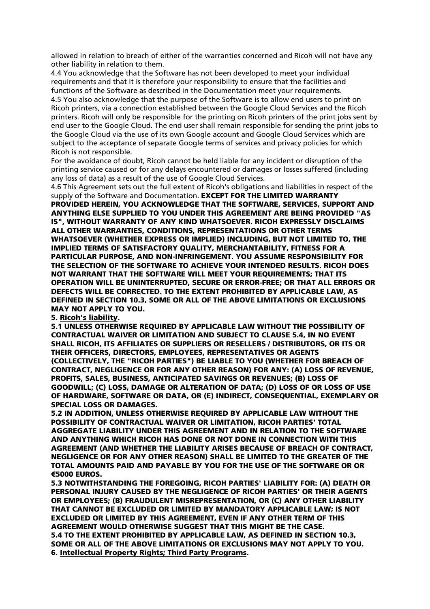allowed in relation to breach of either of the warranties concerned and Ricoh will not have any other liability in relation to them.

4.4 You acknowledge that the Software has not been developed to meet your individual requirements and that it is therefore your responsibility to ensure that the facilities and functions of the Software as described in the Documentation meet your requirements. 4.5 You also acknowledge that the purpose of the Software is to allow end users to print on Ricoh printers, via a connection established between the Google Cloud Services and the Ricoh printers. Ricoh will only be responsible for the printing on Ricoh printers of the print jobs sent by end user to the Google Cloud. The end user shall remain responsible for sending the print jobs to the Google Cloud via the use of its own Google account and Google Cloud Services which are subject to the acceptance of separate Google terms of services and privacy policies for which Ricoh is not responsible.

For the avoidance of doubt, Ricoh cannot be held liable for any incident or disruption of the printing service caused or for any delays encountered or damages or losses suffered (including any loss of data) as a result of the use of Google Cloud Services.

4.6 This Agreement sets out the full extent of Ricoh's obligations and liabilities in respect of the supply of the Software and Documentation. EXCEPT FOR THE LIMITED WARRANTY PROVIDED HEREIN, YOU ACKNOWLEDGE THAT THE SOFTWARE, SERVICES, SUPPORT AND ANYTHING ELSE SUPPLIED TO YOU UNDER THIS AGREEMENT ARE BEING PROVIDED "AS IS", WITHOUT WARRANTY OF ANY KIND WHATSOEVER. RICOH EXPRESSLY DISCLAIMS ALL OTHER WARRANTIES, CONDITIONS, REPRESENTATIONS OR OTHER TERMS WHATSOEVER (WHETHER EXPRESS OR IMPLIED) INCLUDING, BUT NOT LIMITED TO, THE IMPLIED TERMS OF SATISFACTORY QUALITY, MERCHANTABILITY, FITNESS FOR A PARTICULAR PURPOSE, AND NON-INFRINGEMENT. YOU ASSUME RESPONSIBILITY FOR THE SELECTION OF THE SOFTWARE TO ACHIEVE YOUR INTENDED RESULTS. RICOH DOES NOT WARRANT THAT THE SOFTWARE WILL MEET YOUR REQUIREMENTS; THAT ITS OPERATION WILL BE UNINTERRUPTED, SECURE OR ERROR-FREE; OR THAT ALL ERRORS OR DEFECTS WILL BE CORRECTED. TO THE EXTENT PROHIBITED BY APPLICABLE LAW, AS DEFINED IN SECTION 10.3, SOME OR ALL OF THE ABOVE LIMITATIONS OR EXCLUSIONS MAY NOT APPLY TO YOU.

#### 5. Ricoh's liability.

5.1 UNLESS OTHERWISE REQUIRED BY APPLICABLE LAW WITHOUT THE POSSIBILITY OF CONTRACTUAL WAIVER OR LIMITATION AND SUBJECT TO CLAUSE 5.4, IN NO EVENT SHALL RICOH, ITS AFFILIATES OR SUPPLIERS OR RESELLERS / DISTRIBUTORS, OR ITS OR THEIR OFFICERS, DIRECTORS, EMPLOYEES, REPRESENTATIVES OR AGENTS (COLLECTIVELY, THE "RICOH PARTIES") BE LIABLE TO YOU (WHETHER FOR BREACH OF CONTRACT, NEGLIGENCE OR FOR ANY OTHER REASON) FOR ANY: (A) LOSS OF REVENUE, PROFITS, SALES, BUSINESS, ANTICIPATED SAVINGS OR REVENUES; (B) LOSS OF GOODWILL; (C) LOSS, DAMAGE OR ALTERATION OF DATA; (D) LOSS OF OR LOSS OF USE OF HARDWARE, SOFTWARE OR DATA, OR (E) INDIRECT, CONSEQUENTIAL, EXEMPLARY OR SPECIAL LOSS OR DAMAGES.

5.2 IN ADDITION, UNLESS OTHERWISE REQUIRED BY APPLICABLE LAW WITHOUT THE POSSIBILITY OF CONTRACTUAL WAIVER OR LIMITATION, RICOH PARTIES' TOTAL AGGREGATE LIABILITY UNDER THIS AGREEMENT AND IN RELATION TO THE SOFTWARE AND ANYTHING WHICH RICOH HAS DONE OR NOT DONE IN CONNECTION WITH THIS AGREEMENT (AND WHETHER THE LIABILITY ARISES BECAUSE OF BREACH OF CONTRACT, NEGLIGENCE OR FOR ANY OTHER REASON) SHALL BE LIMITED TO THE GREATER OF THE TOTAL AMOUNTS PAID AND PAYABLE BY YOU FOR THE USE OF THE SOFTWARE OR OR €5000 EUROS.

5.3 NOTWITHSTANDING THE FOREGOING, RICOH PARTIES' LIABILITY FOR: (A) DEATH OR PERSONAL INJURY CAUSED BY THE NEGLIGENCE OF RICOH PARTIES' OR THEIR AGENTS OR EMPLOYEES; (B) FRAUDULENT MISREPRESENTATION, OR (C) ANY OTHER LIABILITY THAT CANNOT BE EXCLUDED OR LIMITED BY MANDATORY APPLICABLE LAW; IS NOT EXCLUDED OR LIMITED BY THIS AGREEMENT, EVEN IF ANY OTHER TERM OF THIS AGREEMENT WOULD OTHERWISE SUGGEST THAT THIS MIGHT BE THE CASE. 5.4 TO THE EXTENT PROHIBITED BY APPLICABLE LAW, AS DEFINED IN SECTION 10.3, SOME OR ALL OF THE ABOVE LIMITATIONS OR EXCLUSIONS MAY NOT APPLY TO YOU. 6. Intellectual Property Rights; Third Party Programs.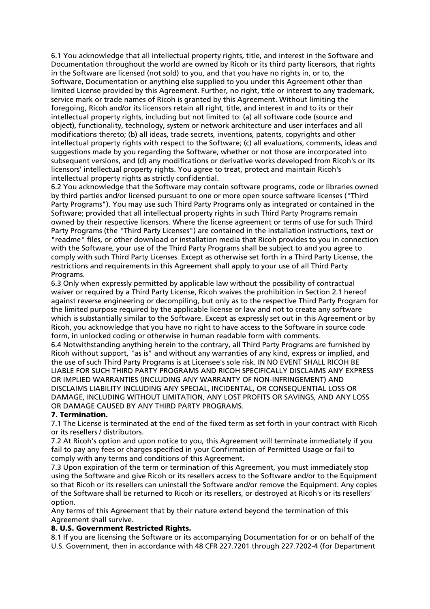6.1 You acknowledge that all intellectual property rights, title, and interest in the Software and Documentation throughout the world are owned by Ricoh or its third party licensors, that rights in the Software are licensed (not sold) to you, and that you have no rights in, or to, the Software, Documentation or anything else supplied to you under this Agreement other than limited License provided by this Agreement. Further, no right, title or interest to any trademark, service mark or trade names of Ricoh is granted by this Agreement. Without limiting the foregoing, Ricoh and/or its licensors retain all right, title, and interest in and to its or their intellectual property rights, including but not limited to: (a) all software code (source and object), functionality, technology, system or network architecture and user interfaces and all modifications thereto; (b) all ideas, trade secrets, inventions, patents, copyrights and other intellectual property rights with respect to the Software; (c) all evaluations, comments, ideas and suggestions made by you regarding the Software, whether or not those are incorporated into subsequent versions, and (d) any modifications or derivative works developed from Ricoh's or its licensors' intellectual property rights. You agree to treat, protect and maintain Ricoh's intellectual property rights as strictly confidential.

6.2 You acknowledge that the Software may contain software programs, code or libraries owned by third parties and/or licensed pursuant to one or more open source software licenses ("Third Party Programs"). You may use such Third Party Programs only as integrated or contained in the Software; provided that all intellectual property rights in such Third Party Programs remain owned by their respective licensors. Where the license agreement or terms of use for such Third Party Programs (the "Third Party Licenses") are contained in the installation instructions, text or "readme" files, or other download or installation media that Ricoh provides to you in connection with the Software, your use of the Third Party Programs shall be subject to and you agree to comply with such Third Party Licenses. Except as otherwise set forth in a Third Party License, the restrictions and requirements in this Agreement shall apply to your use of all Third Party Programs.

6.3 Only when expressly permitted by applicable law without the possibility of contractual waiver or required by a Third Party License, Ricoh waives the prohibition in Section 2.1 hereof against reverse engineering or decompiling, but only as to the respective Third Party Program for the limited purpose required by the applicable license or law and not to create any software which is substantially similar to the Software. Except as expressly set out in this Agreement or by Ricoh, you acknowledge that you have no right to have access to the Software in source code form, in unlocked coding or otherwise in human readable form with comments.

6.4 Notwithstanding anything herein to the contrary, all Third Party Programs are furnished by Ricoh without support, "as is" and without any warranties of any kind, express or implied, and the use of such Third Party Programs is at Licensee's sole risk. IN NO EVENT SHALL RICOH BE LIABLE FOR SUCH THIRD PARTY PROGRAMS AND RICOH SPECIFICALLY DISCLAIMS ANY EXPRESS OR IMPLIED WARRANTIES (INCLUDING ANY WARRANTY OF NON-INFRINGEMENT) AND DISCLAIMS LIABILITY INCLUDING ANY SPECIAL, INCIDENTAL, OR CONSEQUENTIAL LOSS OR DAMAGE, INCLUDING WITHOUT LIMITATION, ANY LOST PROFITS OR SAVINGS, AND ANY LOSS OR DAMAGE CAUSED BY ANY THIRD PARTY PROGRAMS.

## 7. Termination.

7.1 The License is terminated at the end of the fixed term as set forth in your contract with Ricoh or its resellers / distributors.

7.2 At Ricoh's option and upon notice to you, this Agreement will terminate immediately if you fail to pay any fees or charges specified in your Confirmation of Permitted Usage or fail to comply with any terms and conditions of this Agreement.

7.3 Upon expiration of the term or termination of this Agreement, you must immediately stop using the Software and give Ricoh or its resellers access to the Software and/or to the Equipment so that Ricoh or its resellers can uninstall the Software and/or remove the Equipment. Any copies of the Software shall be returned to Ricoh or its resellers, or destroyed at Ricoh's or its resellers' option.

Any terms of this Agreement that by their nature extend beyond the termination of this Agreement shall survive.

## 8. U.S. Government Restricted Rights.

8.1 If you are licensing the Software or its accompanying Documentation for or on behalf of the U.S. Government, then in accordance with 48 CFR 227.7201 through 227.7202-4 (for Department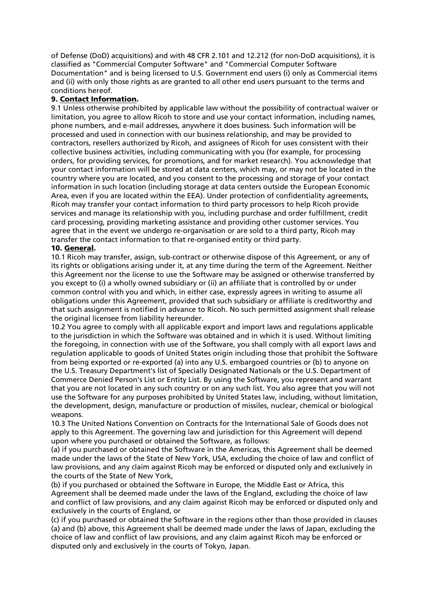of Defense (DoD) acquisitions) and with 48 CFR 2.101 and 12.212 (for non-DoD acquisitions), it is classified as "Commercial Computer Software" and "Commercial Computer Software Documentation" and is being licensed to U.S. Government end users (i) only as Commercial items and (ii) with only those rights as are granted to all other end users pursuant to the terms and conditions hereof.

# 9. Contact Information.

9.1 Unless otherwise prohibited by applicable law without the possibility of contractual waiver or limitation, you agree to allow Ricoh to store and use your contact information, including names, phone numbers, and e-mail addresses, anywhere it does business. Such information will be processed and used in connection with our business relationship, and may be provided to contractors, resellers authorized by Ricoh, and assignees of Ricoh for uses consistent with their collective business activities, including communicating with you (for example, for processing orders, for providing services, for promotions, and for market research). You acknowledge that your contact information will be stored at data centers, which may, or may not be located in the country where you are located, and you consent to the processing and storage of your contact information in such location (including storage at data centers outside the European Economic Area, even if you are located within the EEA). Under protection of confidentiality agreements, Ricoh may transfer your contact information to third party processors to help Ricoh provide services and manage its relationship with you, including purchase and order fulfillment, credit card processing, providing marketing assistance and providing other customer services. You agree that in the event we undergo re-organisation or are sold to a third party, Ricoh may transfer the contact information to that re-organised entity or third party.

## 10. General.

10.1 Ricoh may transfer, assign, sub-contract or otherwise dispose of this Agreement, or any of its rights or obligations arising under it, at any time during the term of the Agreement. Neither this Agreement nor the license to use the Software may be assigned or otherwise transferred by you except to (i) a wholly owned subsidiary or (ii) an affiliate that is controlled by or under common control with you and which, in either case, expressly agrees in writing to assume all obligations under this Agreement, provided that such subsidiary or affiliate is creditworthy and that such assignment is notified in advance to Ricoh. No such permitted assignment shall release the original licensee from liability hereunder.

10.2 You agree to comply with all applicable export and import laws and regulations applicable to the jurisdiction in which the Software was obtained and in which it is used. Without limiting the foregoing, in connection with use of the Software, you shall comply with all export laws and regulation applicable to goods of United States origin including those that prohibit the Software from being exported or re-exported (a) into any U.S. embargoed countries or (b) to anyone on the U.S. Treasury Department's list of Specially Designated Nationals or the U.S. Department of Commerce Denied Person's List or Entity List. By using the Software, you represent and warrant that you are not located in any such country or on any such list. You also agree that you will not use the Software for any purposes prohibited by United States law, including, without limitation, the development, design, manufacture or production of missiles, nuclear, chemical or biological weapons.

10.3 The United Nations Convention on Contracts for the International Sale of Goods does not apply to this Agreement. The governing law and jurisdiction for this Agreement will depend upon where you purchased or obtained the Software, as follows:

(a) if you purchased or obtained the Software in the Americas, this Agreement shall be deemed made under the laws of the State of New York, USA, excluding the choice of law and conflict of law provisions, and any claim against Ricoh may be enforced or disputed only and exclusively in the courts of the State of New York,

(b) if you purchased or obtained the Software in Europe, the Middle East or Africa, this Agreement shall be deemed made under the laws of the England, excluding the choice of law and conflict of law provisions, and any claim against Ricoh may be enforced or disputed only and exclusively in the courts of England, or

(c) if you purchased or obtained the Software in the regions other than those provided in clauses (a) and (b) above, this Agreement shall be deemed made under the laws of Japan, excluding the choice of law and conflict of law provisions, and any claim against Ricoh may be enforced or disputed only and exclusively in the courts of Tokyo, Japan.